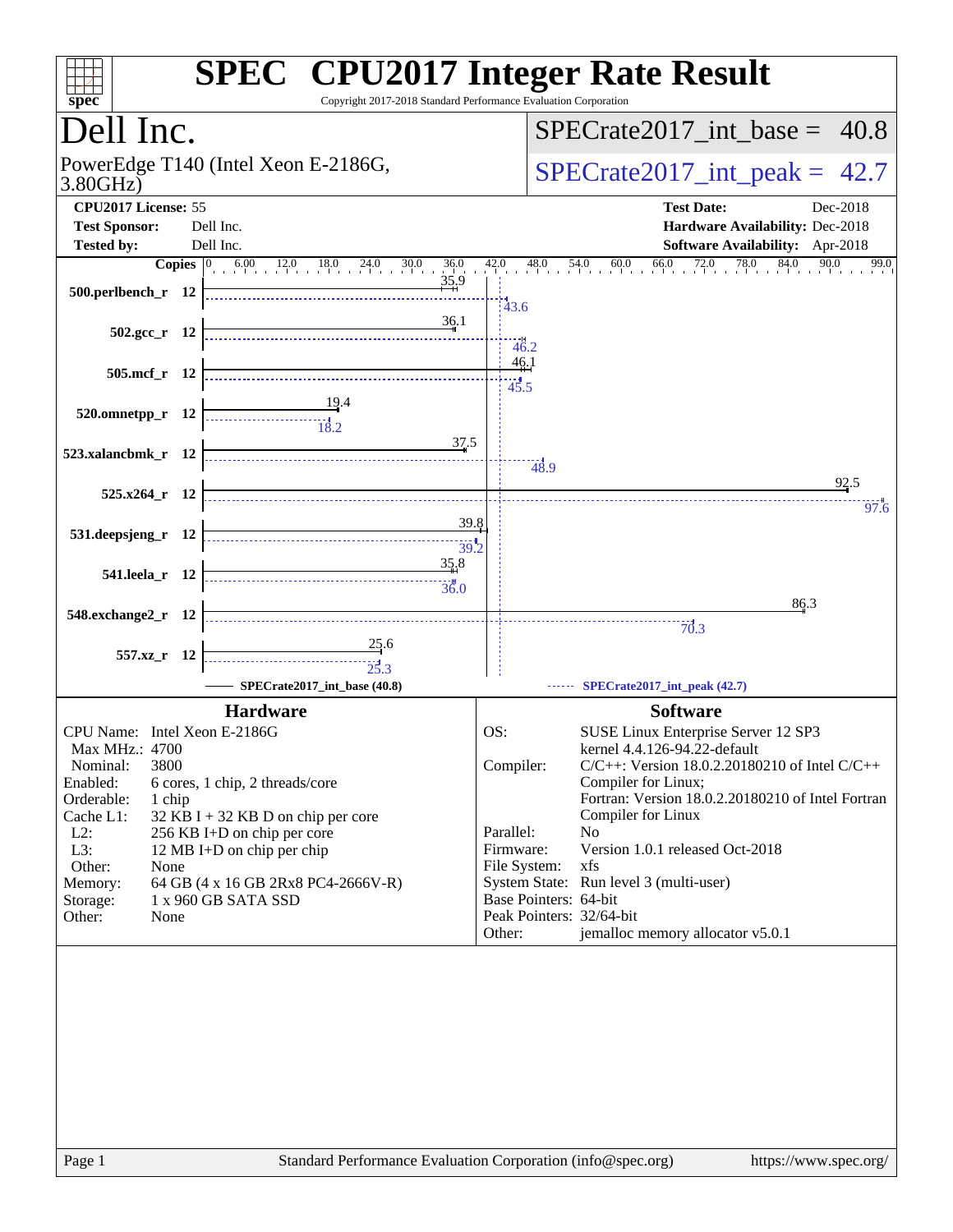| Copyright 2017-2018 Standard Performance Evaluation Corporation<br>$spec^*$               | <b>SPEC<sup>®</sup> CPU2017 Integer Rate Result</b>                                                                                                                                                                                                                                                                                                                                                                                                                                                                        |
|-------------------------------------------------------------------------------------------|----------------------------------------------------------------------------------------------------------------------------------------------------------------------------------------------------------------------------------------------------------------------------------------------------------------------------------------------------------------------------------------------------------------------------------------------------------------------------------------------------------------------------|
| Dell Inc.                                                                                 | $SPECTate2017\_int\_base = 40.8$                                                                                                                                                                                                                                                                                                                                                                                                                                                                                           |
| PowerEdge T140 (Intel Xeon E-2186G,<br>3.80GHz                                            | $SPECTate2017\_int\_peak = 42.7$                                                                                                                                                                                                                                                                                                                                                                                                                                                                                           |
| CPU2017 License: 55<br><b>Test Sponsor:</b><br>Dell Inc.                                  | <b>Test Date:</b><br>Dec-2018<br>Hardware Availability: Dec-2018                                                                                                                                                                                                                                                                                                                                                                                                                                                           |
| Dell Inc.<br><b>Tested by:</b>                                                            | Software Availability: Apr-2018                                                                                                                                                                                                                                                                                                                                                                                                                                                                                            |
| <b>Copies</b> $\begin{bmatrix} 0 & 6.00 & 12.0 & 18.0 & 24.0 & 30.0 & 36.0 \end{bmatrix}$ | 54.0 60.0 66.0 72.0 78.0 84.0 90.0 99.0<br>$42.0$ $48.0$                                                                                                                                                                                                                                                                                                                                                                                                                                                                   |
| 35,9<br>500.perlbench_r 12                                                                | 43.6                                                                                                                                                                                                                                                                                                                                                                                                                                                                                                                       |
| 36.1<br>$502.\text{gcc r}$ 12                                                             | $-46.2$                                                                                                                                                                                                                                                                                                                                                                                                                                                                                                                    |
| 505.mcf_r 12                                                                              | 46.1<br>45.5                                                                                                                                                                                                                                                                                                                                                                                                                                                                                                               |
| 520.omnetpp_r 12<br>37.5                                                                  |                                                                                                                                                                                                                                                                                                                                                                                                                                                                                                                            |
| 523.xalancbmk_r 12                                                                        | 48.9<br>92.5                                                                                                                                                                                                                                                                                                                                                                                                                                                                                                               |
| 525.x264_r 12<br>39.8                                                                     | 97.6                                                                                                                                                                                                                                                                                                                                                                                                                                                                                                                       |
| 531.deepsjeng_r 12<br>39.2                                                                |                                                                                                                                                                                                                                                                                                                                                                                                                                                                                                                            |
| 35.8<br>541.leela r 12<br>36.0                                                            |                                                                                                                                                                                                                                                                                                                                                                                                                                                                                                                            |
| 548.exchange2_r 12                                                                        | 86.3<br>$\begin{array}{c}\n\vdots \\ \hline\n\vdots \\ \hline\n\vdots \\ \hline\n\vdots \\ \hline\n\vdots \\ \hline\n\vdots \\ \hline\n\vdots \\ \hline\n\vdots \\ \hline\n\vdots \\ \hline\n\vdots \\ \hline\n\vdots \\ \hline\n\vdots \\ \hline\n\vdots \\ \hline\n\vdots \\ \hline\n\vdots \\ \hline\n\vdots \\ \hline\n\vdots \\ \hline\n\vdots \\ \hline\n\vdots \\ \hline\n\vdots \\ \hline\n\vdots \\ \hline\n\vdots \\ \hline\n\vdots \\ \hline\n\vdots \\ \hline\n\vdots \\ \hline\n\vdots \\ \hline\n\vdots \\ $ |
| 25.6<br>557.xz_r 12                                                                       |                                                                                                                                                                                                                                                                                                                                                                                                                                                                                                                            |
| SPECrate2017 int base (40.8)                                                              | SPECrate2017_int_peak (42.7)                                                                                                                                                                                                                                                                                                                                                                                                                                                                                               |
| <b>Hardware</b>                                                                           | <b>Software</b>                                                                                                                                                                                                                                                                                                                                                                                                                                                                                                            |
| CPU Name: Intel Xeon E-2186G                                                              | SUSE Linux Enterprise Server 12 SP3<br>OS:                                                                                                                                                                                                                                                                                                                                                                                                                                                                                 |
| Max MHz.: 4700                                                                            | kernel 4.4.126-94.22-default                                                                                                                                                                                                                                                                                                                                                                                                                                                                                               |
| Nominal:<br>3800                                                                          | Compiler:<br>C/C++: Version 18.0.2.20180210 of Intel C/C++                                                                                                                                                                                                                                                                                                                                                                                                                                                                 |
| Enabled:<br>6 cores, 1 chip, 2 threads/core                                               | Compiler for Linux;                                                                                                                                                                                                                                                                                                                                                                                                                                                                                                        |
| Orderable:<br>1 chip                                                                      | Fortran: Version 18.0.2.20180210 of Intel Fortran                                                                                                                                                                                                                                                                                                                                                                                                                                                                          |
| Cache L1:<br>$32$ KB I + 32 KB D on chip per core                                         | Compiler for Linux                                                                                                                                                                                                                                                                                                                                                                                                                                                                                                         |
| $L2$ :<br>256 KB I+D on chip per core                                                     | Parallel:<br>N <sub>0</sub>                                                                                                                                                                                                                                                                                                                                                                                                                                                                                                |
| L3:<br>12 MB I+D on chip per chip                                                         | Version 1.0.1 released Oct-2018<br>Firmware:                                                                                                                                                                                                                                                                                                                                                                                                                                                                               |
| Other:<br>None                                                                            | File System:<br>xfs                                                                                                                                                                                                                                                                                                                                                                                                                                                                                                        |
| Memory:<br>64 GB (4 x 16 GB 2Rx8 PC4-2666V-R)                                             | System State: Run level 3 (multi-user)                                                                                                                                                                                                                                                                                                                                                                                                                                                                                     |
| 1 x 960 GB SATA SSD<br>Storage:                                                           | Base Pointers: 64-bit                                                                                                                                                                                                                                                                                                                                                                                                                                                                                                      |
| Other:<br>None                                                                            | Peak Pointers: 32/64-bit<br>jemalloc memory allocator v5.0.1<br>Other:                                                                                                                                                                                                                                                                                                                                                                                                                                                     |
|                                                                                           |                                                                                                                                                                                                                                                                                                                                                                                                                                                                                                                            |
|                                                                                           |                                                                                                                                                                                                                                                                                                                                                                                                                                                                                                                            |
| Page 1                                                                                    | Standard Performance Evaluation Corporation (info@spec.org)<br>https://www.spec.org/                                                                                                                                                                                                                                                                                                                                                                                                                                       |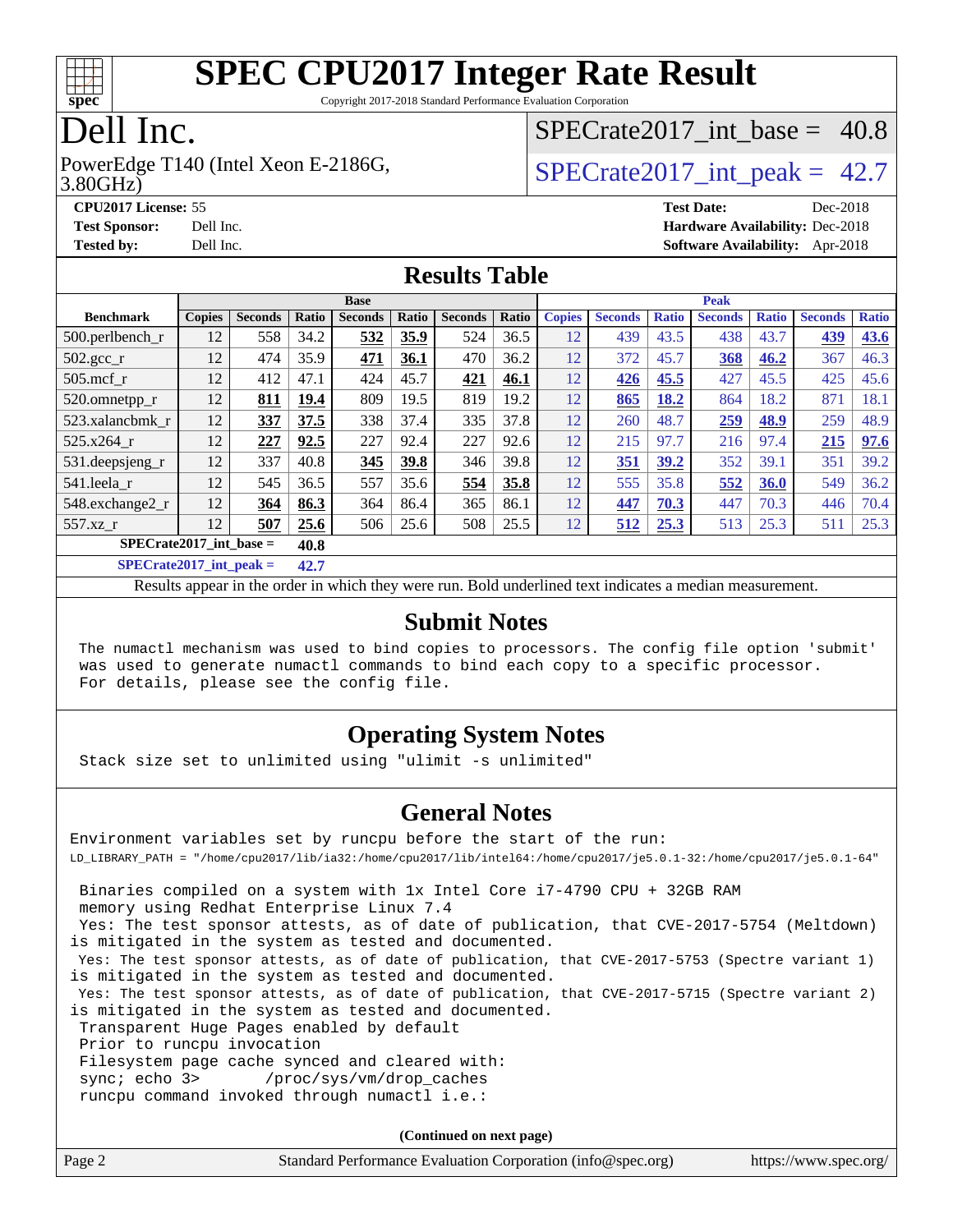

Copyright 2017-2018 Standard Performance Evaluation Corporation

## Dell Inc.

3.80GHz) PowerEdge T140 (Intel Xeon E-2186G,  $\vert$  SPECrate2017 int peak = 42.7

SPECrate2017 int\_base =  $40.8$ 

**[CPU2017 License:](http://www.spec.org/auto/cpu2017/Docs/result-fields.html#CPU2017License)** 55 **[Test Date:](http://www.spec.org/auto/cpu2017/Docs/result-fields.html#TestDate)** Dec-2018 **[Test Sponsor:](http://www.spec.org/auto/cpu2017/Docs/result-fields.html#TestSponsor)** Dell Inc. **[Hardware Availability:](http://www.spec.org/auto/cpu2017/Docs/result-fields.html#HardwareAvailability)** Dec-2018 **[Tested by:](http://www.spec.org/auto/cpu2017/Docs/result-fields.html#Testedby)** Dell Inc. **[Software Availability:](http://www.spec.org/auto/cpu2017/Docs/result-fields.html#SoftwareAvailability)** Apr-2018

### **[Results Table](http://www.spec.org/auto/cpu2017/Docs/result-fields.html#ResultsTable)**

|                                     | <b>Base</b>   |                |        |                | <b>Peak</b> |                |       |               |                |              |                |              |                |              |
|-------------------------------------|---------------|----------------|--------|----------------|-------------|----------------|-------|---------------|----------------|--------------|----------------|--------------|----------------|--------------|
| <b>Benchmark</b>                    | <b>Copies</b> | <b>Seconds</b> | Ratio  | <b>Seconds</b> | Ratio       | <b>Seconds</b> | Ratio | <b>Copies</b> | <b>Seconds</b> | <b>Ratio</b> | <b>Seconds</b> | <b>Ratio</b> | <b>Seconds</b> | <b>Ratio</b> |
| $500$ .perlbench r                  | 12            | 558            | 34.2   | 532            | 35.9        | 524            | 36.5  | 12            | 439            | 43.5         | 438            | 43.7         | 439            | 43.6         |
| $502.\text{gcc\_r}$                 | 12            | 474            | 35.9   | 471            | 36.1        | 470            | 36.2  | 12            | 372            | 45.7         | 368            | 46.2         | 367            | 46.3         |
| $505$ .mcf r                        | 12            | 412            | 47.1   | 424            | 45.7        | 421            | 46.1  | 12            | 426            | 45.5         | 427            | 45.5         | 425            | 45.6         |
| 520.omnetpp_r                       | 12            | 811            | 19.4   | 809            | 19.5        | 819            | 19.2  | 12            | 865            | 18.2         | 864            | 18.2         | 871            | 18.1         |
| 523.xalancbmk r                     | 12            | 337            | 37.5   | 338            | 37.4        | 335            | 37.8  | 12            | 260            | 48.7         | 259            | 48.9         | 259            | 48.9         |
| 525.x264 r                          | 12            | 227            | 92.5   | 227            | 92.4        | 227            | 92.6  | 12            | 215            | 97.7         | 216            | 97.4         | 215            | 97.6         |
| 531.deepsjeng_r                     | 12            | 337            | 40.8   | 345            | 39.8        | 346            | 39.8  | 12            | 351            | 39.2         | 352            | 39.1         | 351            | 39.2         |
| 541.leela_r                         | 12            | 545            | 36.5   | 557            | 35.6        | 554            | 35.8  | 12            | 555            | 35.8         | 552            | 36.0         | 549            | 36.2         |
| 548.exchange2 r                     | 12            | 364            | 86.3   | 364            | 86.4        | 365            | 86.1  | 12            | 447            | 70.3         | 447            | 70.3         | 446            | 70.4         |
| 557.xz r                            | 12            | 507            | 25.6   | 506            | 25.6        | 508            | 25.5  | 12            | 512            | 25.3         | 513            | 25.3         | 511            | 25.3         |
| $SPECrate2017\_int\_base =$<br>40.8 |               |                |        |                |             |                |       |               |                |              |                |              |                |              |
| $CDDAC = 4.047 + 4 = 1.1$           |               |                | $\sim$ |                |             |                |       |               |                |              |                |              |                |              |

**[SPECrate2017\\_int\\_peak =](http://www.spec.org/auto/cpu2017/Docs/result-fields.html#SPECrate2017intpeak) 42.7**

Results appear in the [order in which they were run](http://www.spec.org/auto/cpu2017/Docs/result-fields.html#RunOrder). Bold underlined text [indicates a median measurement](http://www.spec.org/auto/cpu2017/Docs/result-fields.html#Median).

### **[Submit Notes](http://www.spec.org/auto/cpu2017/Docs/result-fields.html#SubmitNotes)**

 The numactl mechanism was used to bind copies to processors. The config file option 'submit' was used to generate numactl commands to bind each copy to a specific processor. For details, please see the config file.

### **[Operating System Notes](http://www.spec.org/auto/cpu2017/Docs/result-fields.html#OperatingSystemNotes)**

Stack size set to unlimited using "ulimit -s unlimited"

### **[General Notes](http://www.spec.org/auto/cpu2017/Docs/result-fields.html#GeneralNotes)**

Environment variables set by runcpu before the start of the run: LD\_LIBRARY\_PATH = "/home/cpu2017/lib/ia32:/home/cpu2017/lib/intel64:/home/cpu2017/je5.0.1-32:/home/cpu2017/je5.0.1-64" Binaries compiled on a system with 1x Intel Core i7-4790 CPU + 32GB RAM memory using Redhat Enterprise Linux 7.4 Yes: The test sponsor attests, as of date of publication, that CVE-2017-5754 (Meltdown) is mitigated in the system as tested and documented. Yes: The test sponsor attests, as of date of publication, that CVE-2017-5753 (Spectre variant 1) is mitigated in the system as tested and documented. Yes: The test sponsor attests, as of date of publication, that CVE-2017-5715 (Spectre variant 2) is mitigated in the system as tested and documented. Transparent Huge Pages enabled by default Prior to runcpu invocation Filesystem page cache synced and cleared with: sync; echo 3> /proc/sys/vm/drop\_caches runcpu command invoked through numactl i.e.:

**(Continued on next page)**

| Page 2<br>Standard Performance Evaluation Corporation (info@spec.org)<br>https://www.spec.org/ |
|------------------------------------------------------------------------------------------------|
|------------------------------------------------------------------------------------------------|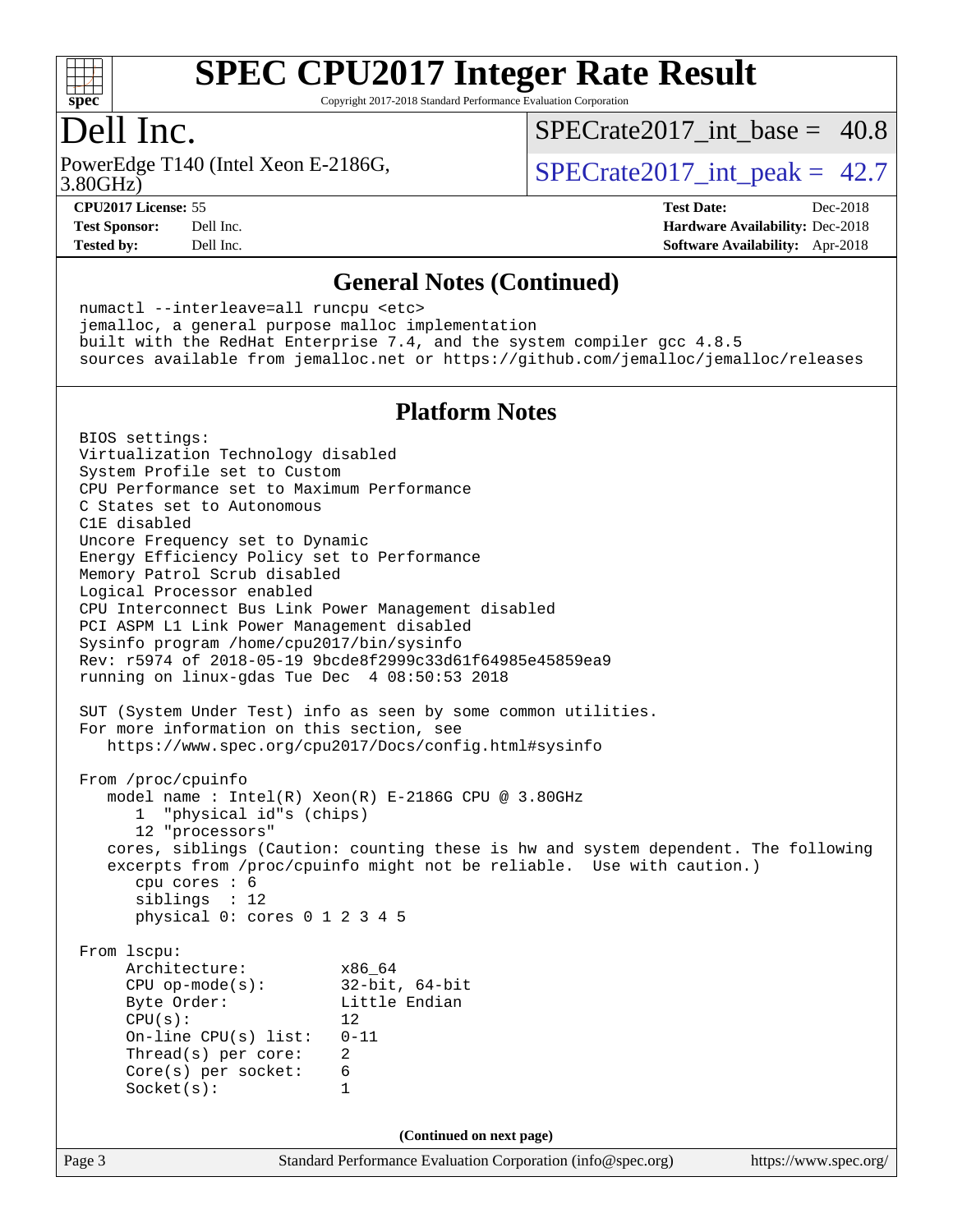

Copyright 2017-2018 Standard Performance Evaluation Corporation

### Dell Inc.

PowerEdge T140 (Intel Xeon E-2186G, 3.80GHz)

SPECrate2017 int\_base =  $40.8$ 

SPECrate  $2017$  int peak = 42.7

**[Tested by:](http://www.spec.org/auto/cpu2017/Docs/result-fields.html#Testedby)** Dell Inc. **[Software Availability:](http://www.spec.org/auto/cpu2017/Docs/result-fields.html#SoftwareAvailability)** Apr-2018

**[CPU2017 License:](http://www.spec.org/auto/cpu2017/Docs/result-fields.html#CPU2017License)** 55 **[Test Date:](http://www.spec.org/auto/cpu2017/Docs/result-fields.html#TestDate)** Dec-2018 **[Test Sponsor:](http://www.spec.org/auto/cpu2017/Docs/result-fields.html#TestSponsor)** Dell Inc. **[Hardware Availability:](http://www.spec.org/auto/cpu2017/Docs/result-fields.html#HardwareAvailability)** Dec-2018

#### **[General Notes \(Continued\)](http://www.spec.org/auto/cpu2017/Docs/result-fields.html#GeneralNotes)**

 numactl --interleave=all runcpu <etc> jemalloc, a general purpose malloc implementation built with the RedHat Enterprise 7.4, and the system compiler gcc 4.8.5 sources available from jemalloc.net or <https://github.com/jemalloc/jemalloc/releases>

### **[Platform Notes](http://www.spec.org/auto/cpu2017/Docs/result-fields.html#PlatformNotes)**

Page 3 Standard Performance Evaluation Corporation [\(info@spec.org\)](mailto:info@spec.org) <https://www.spec.org/> BIOS settings: Virtualization Technology disabled System Profile set to Custom CPU Performance set to Maximum Performance C States set to Autonomous C1E disabled Uncore Frequency set to Dynamic Energy Efficiency Policy set to Performance Memory Patrol Scrub disabled Logical Processor enabled CPU Interconnect Bus Link Power Management disabled PCI ASPM L1 Link Power Management disabled Sysinfo program /home/cpu2017/bin/sysinfo Rev: r5974 of 2018-05-19 9bcde8f2999c33d61f64985e45859ea9 running on linux-gdas Tue Dec 4 08:50:53 2018 SUT (System Under Test) info as seen by some common utilities. For more information on this section, see <https://www.spec.org/cpu2017/Docs/config.html#sysinfo> From /proc/cpuinfo model name : Intel(R) Xeon(R) E-2186G CPU @ 3.80GHz 1 "physical id"s (chips) 12 "processors" cores, siblings (Caution: counting these is hw and system dependent. The following excerpts from /proc/cpuinfo might not be reliable. Use with caution.) cpu cores : 6 siblings : 12 physical 0: cores 0 1 2 3 4 5 From lscpu: Architecture: x86\_64 CPU op-mode(s): 32-bit, 64-bit<br>Byte Order: Little Endian Little Endian  $CPU(s):$  12 On-line CPU(s) list: 0-11 Thread(s) per core: 2 Core(s) per socket: 6 Socket(s): 1 **(Continued on next page)**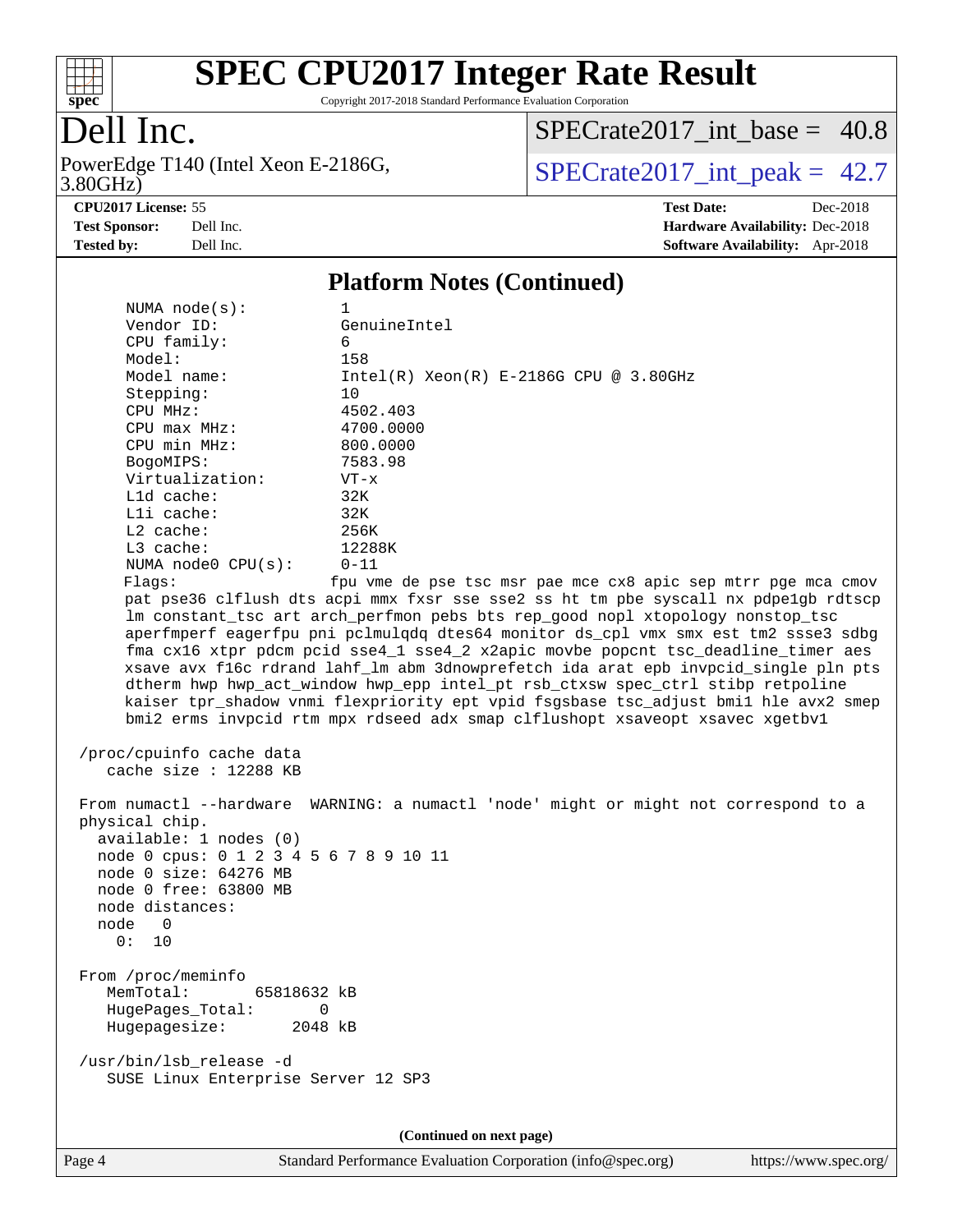

Copyright 2017-2018 Standard Performance Evaluation Corporation

# Dell Inc.

3.80GHz) PowerEdge T140 (Intel Xeon E-2186G,  $SPECTate 2017\_int\_peak = 42.7$ 

[SPECrate2017\\_int\\_base =](http://www.spec.org/auto/cpu2017/Docs/result-fields.html#SPECrate2017intbase) 40.8

**[Tested by:](http://www.spec.org/auto/cpu2017/Docs/result-fields.html#Testedby)** Dell Inc. **[Software Availability:](http://www.spec.org/auto/cpu2017/Docs/result-fields.html#SoftwareAvailability)** Apr-2018

**[CPU2017 License:](http://www.spec.org/auto/cpu2017/Docs/result-fields.html#CPU2017License)** 55 **[Test Date:](http://www.spec.org/auto/cpu2017/Docs/result-fields.html#TestDate)** Dec-2018 **[Test Sponsor:](http://www.spec.org/auto/cpu2017/Docs/result-fields.html#TestSponsor)** Dell Inc. **[Hardware Availability:](http://www.spec.org/auto/cpu2017/Docs/result-fields.html#HardwareAvailability)** Dec-2018

#### **[Platform Notes \(Continued\)](http://www.spec.org/auto/cpu2017/Docs/result-fields.html#PlatformNotes)**

| NUMA $node(s):$                        | 1                                                                                    |
|----------------------------------------|--------------------------------------------------------------------------------------|
| Vendor ID:                             | GenuineIntel                                                                         |
| CPU family:                            | 6                                                                                    |
| Model:                                 | 158                                                                                  |
| Model name:                            | $Intel(R) Xeon(R) E-2186G CPU @ 3.80GHz$                                             |
| Stepping:                              | 10                                                                                   |
| CPU MHz:                               | 4502.403                                                                             |
| $CPU$ $max$ $MHz$ :                    | 4700.0000                                                                            |
| CPU min MHz:                           | 800.0000                                                                             |
| BogoMIPS:                              | 7583.98                                                                              |
| Virtualization:                        | $VT - x$                                                                             |
| L1d cache:                             | 32K                                                                                  |
| Lli cache:                             | 32K                                                                                  |
| $L2$ cache:                            | 256K                                                                                 |
| $L3$ cache:                            | 12288K                                                                               |
| NUMA node0 CPU(s):                     | $0 - 11$                                                                             |
| Flaqs:                                 | fpu vme de pse tsc msr pae mce cx8 apic sep mtrr pge mca cmov                        |
|                                        | pat pse36 clflush dts acpi mmx fxsr sse sse2 ss ht tm pbe syscall nx pdpe1gb rdtscp  |
|                                        | lm constant_tsc art arch_perfmon pebs bts rep_good nopl xtopology nonstop_tsc        |
|                                        | aperfmperf eagerfpu pni pclmulqdq dtes64 monitor ds_cpl vmx smx est tm2 ssse3 sdbg   |
|                                        | fma cx16 xtpr pdcm pcid sse4_1 sse4_2 x2apic movbe popcnt tsc_deadline_timer aes     |
|                                        | xsave avx f16c rdrand lahf_lm abm 3dnowprefetch ida arat epb invpcid_single pln pts  |
|                                        | dtherm hwp hwp_act_window hwp_epp intel_pt rsb_ctxsw spec_ctrl stibp retpoline       |
|                                        | kaiser tpr_shadow vnmi flexpriority ept vpid fsgsbase tsc_adjust bmil hle avx2 smep  |
|                                        | bmi2 erms invpcid rtm mpx rdseed adx smap clflushopt xsaveopt xsavec xgetbvl         |
|                                        |                                                                                      |
| /proc/cpuinfo cache data               |                                                                                      |
| cache size : 12288 KB                  |                                                                                      |
|                                        |                                                                                      |
| physical chip.                         | From numactl --hardware WARNING: a numactl 'node' might or might not correspond to a |
| available: 1 nodes (0)                 |                                                                                      |
| node 0 cpus: 0 1 2 3 4 5 6 7 8 9 10 11 |                                                                                      |
| node 0 size: 64276 MB                  |                                                                                      |
| node 0 free: 63800 MB                  |                                                                                      |
| node distances:                        |                                                                                      |
| node 0                                 |                                                                                      |
| 0: 10                                  |                                                                                      |
|                                        |                                                                                      |
| From /proc/meminfo                     |                                                                                      |
| 65818632 kB<br>MemTotal:               |                                                                                      |
| HugePages_Total:<br>0                  |                                                                                      |
| Hugepagesize:<br>2048 kB               |                                                                                      |
|                                        |                                                                                      |
| /usr/bin/lsb_release -d                |                                                                                      |
| SUSE Linux Enterprise Server 12 SP3    |                                                                                      |
|                                        |                                                                                      |
|                                        |                                                                                      |
|                                        | (Continued on next page)                                                             |
|                                        |                                                                                      |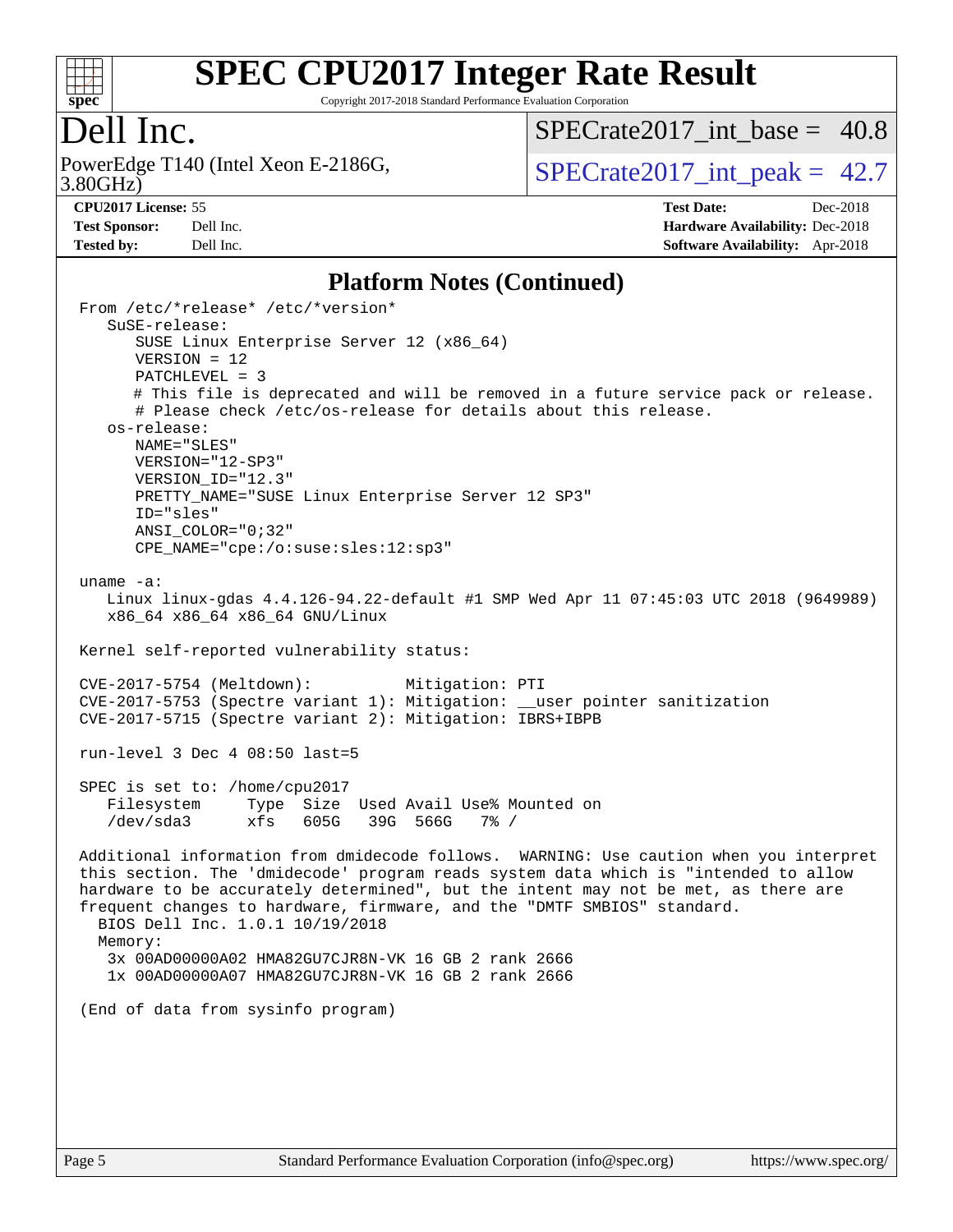

Copyright 2017-2018 Standard Performance Evaluation Corporation

## Dell Inc.

PowerEdge T140 (Intel Xeon E-2186G, 3.80GHz)

SPECrate2017 int\_base =  $40.8$ 

SPECrate  $2017$  int peak = 42.7

**[Tested by:](http://www.spec.org/auto/cpu2017/Docs/result-fields.html#Testedby)** Dell Inc. **[Software Availability:](http://www.spec.org/auto/cpu2017/Docs/result-fields.html#SoftwareAvailability)** Apr-2018

**[CPU2017 License:](http://www.spec.org/auto/cpu2017/Docs/result-fields.html#CPU2017License)** 55 **[Test Date:](http://www.spec.org/auto/cpu2017/Docs/result-fields.html#TestDate)** Dec-2018 **[Test Sponsor:](http://www.spec.org/auto/cpu2017/Docs/result-fields.html#TestSponsor)** Dell Inc. **[Hardware Availability:](http://www.spec.org/auto/cpu2017/Docs/result-fields.html#HardwareAvailability)** Dec-2018

#### **[Platform Notes \(Continued\)](http://www.spec.org/auto/cpu2017/Docs/result-fields.html#PlatformNotes)**

 From /etc/\*release\* /etc/\*version\* SuSE-release: SUSE Linux Enterprise Server 12 (x86\_64) VERSION = 12 PATCHLEVEL = 3 # This file is deprecated and will be removed in a future service pack or release. # Please check /etc/os-release for details about this release. os-release: NAME="SLES" VERSION="12-SP3" VERSION\_ID="12.3" PRETTY NAME="SUSE Linux Enterprise Server 12 SP3" ID="sles" ANSI\_COLOR="0;32" CPE\_NAME="cpe:/o:suse:sles:12:sp3" uname -a: Linux linux-gdas 4.4.126-94.22-default #1 SMP Wed Apr 11 07:45:03 UTC 2018 (9649989) x86\_64 x86\_64 x86\_64 GNU/Linux Kernel self-reported vulnerability status: CVE-2017-5754 (Meltdown): Mitigation: PTI CVE-2017-5753 (Spectre variant 1): Mitigation: \_\_user pointer sanitization CVE-2017-5715 (Spectre variant 2): Mitigation: IBRS+IBPB run-level 3 Dec 4 08:50 last=5 SPEC is set to: /home/cpu2017 Filesystem Type Size Used Avail Use% Mounted on /dev/sda3 xfs 605G 39G 566G 7% / Additional information from dmidecode follows. WARNING: Use caution when you interpret this section. The 'dmidecode' program reads system data which is "intended to allow hardware to be accurately determined", but the intent may not be met, as there are frequent changes to hardware, firmware, and the "DMTF SMBIOS" standard. BIOS Dell Inc. 1.0.1 10/19/2018 Memory: 3x 00AD00000A02 HMA82GU7CJR8N-VK 16 GB 2 rank 2666 1x 00AD00000A07 HMA82GU7CJR8N-VK 16 GB 2 rank 2666 (End of data from sysinfo program)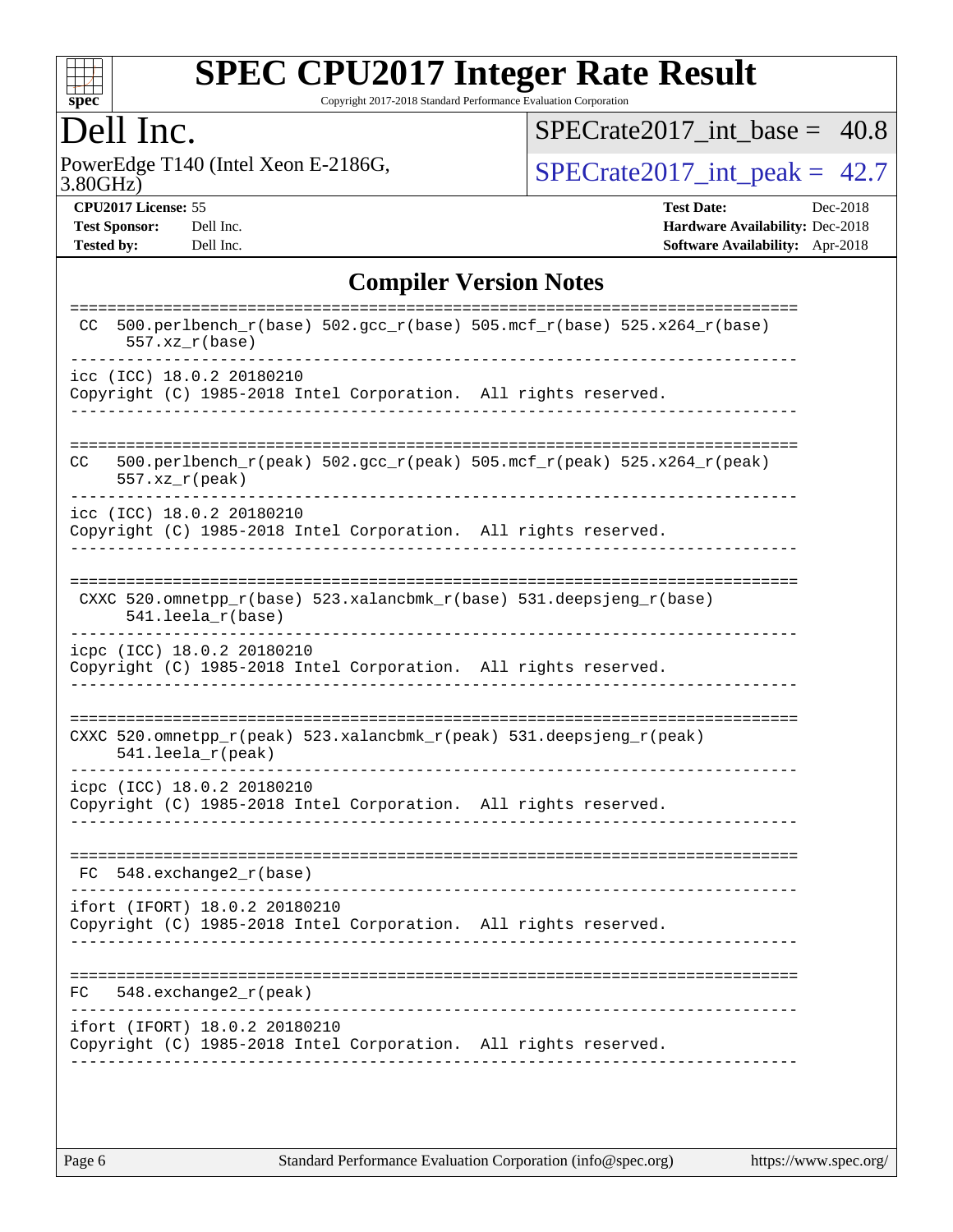

Copyright 2017-2018 Standard Performance Evaluation Corporation

## Dell Inc.

PowerEdge T140 (Intel Xeon E-2186G, 3.80GHz)

 $SPECTate2017\_int\_base = 40.8$ 

 $SPECrate2017\_int\_peak = 42.7$ 

**[CPU2017 License:](http://www.spec.org/auto/cpu2017/Docs/result-fields.html#CPU2017License)** 55 **[Test Date:](http://www.spec.org/auto/cpu2017/Docs/result-fields.html#TestDate)** Dec-2018 **[Test Sponsor:](http://www.spec.org/auto/cpu2017/Docs/result-fields.html#TestSponsor)** Dell Inc. **[Hardware Availability:](http://www.spec.org/auto/cpu2017/Docs/result-fields.html#HardwareAvailability)** Dec-2018 **[Tested by:](http://www.spec.org/auto/cpu2017/Docs/result-fields.html#Testedby)** Dell Inc. **[Software Availability:](http://www.spec.org/auto/cpu2017/Docs/result-fields.html#SoftwareAvailability)** Apr-2018

### **[Compiler Version Notes](http://www.spec.org/auto/cpu2017/Docs/result-fields.html#CompilerVersionNotes)**

| 500.perlbench_r(base) 502.gcc_r(base) 505.mcf_r(base) 525.x264_r(base)<br>CC.<br>$557. xz_r(base)$                      |
|-------------------------------------------------------------------------------------------------------------------------|
| icc (ICC) 18.0.2 20180210<br>Copyright (C) 1985-2018 Intel Corporation. All rights reserved.                            |
| 500.perlbench_r(peak) 502.gcc_r(peak) 505.mcf_r(peak) 525.x264_r(peak)<br>CC<br>$557. xz_r (peak)$                      |
| icc (ICC) 18.0.2 20180210<br>Copyright (C) 1985-2018 Intel Corporation. All rights reserved.                            |
| CXXC 520.omnetpp_r(base) 523.xalancbmk_r(base) 531.deepsjeng_r(base)<br>541.leela r(base)                               |
| icpc (ICC) 18.0.2 20180210<br>Copyright (C) 1985-2018 Intel Corporation. All rights reserved.                           |
| CXXC 520.omnetpp $r(\text{peak})$ 523.xalancbmk $r(\text{peak})$ 531.deepsjeng $r(\text{peak})$<br>$541.$ leela r(peak) |
| icpc (ICC) 18.0.2 20180210<br>Copyright (C) 1985-2018 Intel Corporation. All rights reserved.                           |
| $548$ . exchange $2 r(base)$<br>FC.                                                                                     |
| ifort (IFORT) 18.0.2 20180210<br>Copyright (C) 1985-2018 Intel Corporation. All rights reserved.                        |
| $548$ . exchange $2\degree$ r (peak)<br>FC.                                                                             |
| ifort (IFORT) 18.0.2 20180210<br>Copyright (C) 1985-2018 Intel Corporation. All rights reserved.                        |
|                                                                                                                         |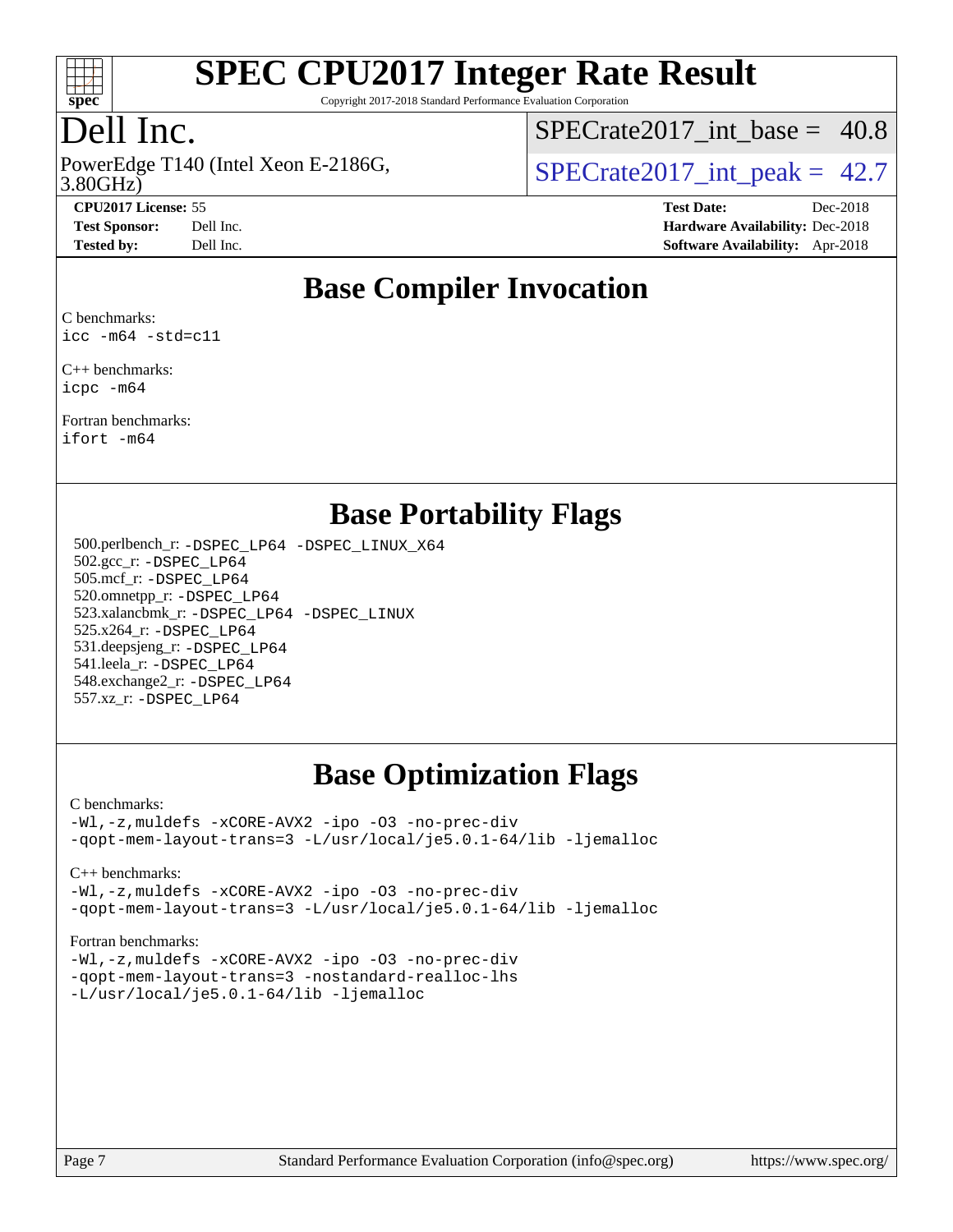

Copyright 2017-2018 Standard Performance Evaluation Corporation

## Dell Inc.

PowerEdge T140 (Intel Xeon E-2186G, 3.80GHz)

SPECrate2017 int\_base =  $40.8$ 

SPECrate  $2017$  int peak = 42.7

**[CPU2017 License:](http://www.spec.org/auto/cpu2017/Docs/result-fields.html#CPU2017License)** 55 **[Test Date:](http://www.spec.org/auto/cpu2017/Docs/result-fields.html#TestDate)** Dec-2018 **[Test Sponsor:](http://www.spec.org/auto/cpu2017/Docs/result-fields.html#TestSponsor)** Dell Inc. **[Hardware Availability:](http://www.spec.org/auto/cpu2017/Docs/result-fields.html#HardwareAvailability)** Dec-2018 **[Tested by:](http://www.spec.org/auto/cpu2017/Docs/result-fields.html#Testedby)** Dell Inc. **[Software Availability:](http://www.spec.org/auto/cpu2017/Docs/result-fields.html#SoftwareAvailability)** Apr-2018

### **[Base Compiler Invocation](http://www.spec.org/auto/cpu2017/Docs/result-fields.html#BaseCompilerInvocation)**

[C benchmarks](http://www.spec.org/auto/cpu2017/Docs/result-fields.html#Cbenchmarks): [icc -m64 -std=c11](http://www.spec.org/cpu2017/results/res2018q4/cpu2017-20181210-10195.flags.html#user_CCbase_intel_icc_64bit_c11_33ee0cdaae7deeeab2a9725423ba97205ce30f63b9926c2519791662299b76a0318f32ddfffdc46587804de3178b4f9328c46fa7c2b0cd779d7a61945c91cd35)

[C++ benchmarks:](http://www.spec.org/auto/cpu2017/Docs/result-fields.html#CXXbenchmarks) [icpc -m64](http://www.spec.org/cpu2017/results/res2018q4/cpu2017-20181210-10195.flags.html#user_CXXbase_intel_icpc_64bit_4ecb2543ae3f1412ef961e0650ca070fec7b7afdcd6ed48761b84423119d1bf6bdf5cad15b44d48e7256388bc77273b966e5eb805aefd121eb22e9299b2ec9d9)

[Fortran benchmarks](http://www.spec.org/auto/cpu2017/Docs/result-fields.html#Fortranbenchmarks): [ifort -m64](http://www.spec.org/cpu2017/results/res2018q4/cpu2017-20181210-10195.flags.html#user_FCbase_intel_ifort_64bit_24f2bb282fbaeffd6157abe4f878425411749daecae9a33200eee2bee2fe76f3b89351d69a8130dd5949958ce389cf37ff59a95e7a40d588e8d3a57e0c3fd751)

### **[Base Portability Flags](http://www.spec.org/auto/cpu2017/Docs/result-fields.html#BasePortabilityFlags)**

 500.perlbench\_r: [-DSPEC\\_LP64](http://www.spec.org/cpu2017/results/res2018q4/cpu2017-20181210-10195.flags.html#b500.perlbench_r_basePORTABILITY_DSPEC_LP64) [-DSPEC\\_LINUX\\_X64](http://www.spec.org/cpu2017/results/res2018q4/cpu2017-20181210-10195.flags.html#b500.perlbench_r_baseCPORTABILITY_DSPEC_LINUX_X64) 502.gcc\_r: [-DSPEC\\_LP64](http://www.spec.org/cpu2017/results/res2018q4/cpu2017-20181210-10195.flags.html#suite_basePORTABILITY502_gcc_r_DSPEC_LP64) 505.mcf\_r: [-DSPEC\\_LP64](http://www.spec.org/cpu2017/results/res2018q4/cpu2017-20181210-10195.flags.html#suite_basePORTABILITY505_mcf_r_DSPEC_LP64) 520.omnetpp\_r: [-DSPEC\\_LP64](http://www.spec.org/cpu2017/results/res2018q4/cpu2017-20181210-10195.flags.html#suite_basePORTABILITY520_omnetpp_r_DSPEC_LP64) 523.xalancbmk\_r: [-DSPEC\\_LP64](http://www.spec.org/cpu2017/results/res2018q4/cpu2017-20181210-10195.flags.html#suite_basePORTABILITY523_xalancbmk_r_DSPEC_LP64) [-DSPEC\\_LINUX](http://www.spec.org/cpu2017/results/res2018q4/cpu2017-20181210-10195.flags.html#b523.xalancbmk_r_baseCXXPORTABILITY_DSPEC_LINUX) 525.x264\_r: [-DSPEC\\_LP64](http://www.spec.org/cpu2017/results/res2018q4/cpu2017-20181210-10195.flags.html#suite_basePORTABILITY525_x264_r_DSPEC_LP64) 531.deepsjeng\_r: [-DSPEC\\_LP64](http://www.spec.org/cpu2017/results/res2018q4/cpu2017-20181210-10195.flags.html#suite_basePORTABILITY531_deepsjeng_r_DSPEC_LP64) 541.leela\_r: [-DSPEC\\_LP64](http://www.spec.org/cpu2017/results/res2018q4/cpu2017-20181210-10195.flags.html#suite_basePORTABILITY541_leela_r_DSPEC_LP64) 548.exchange2\_r: [-DSPEC\\_LP64](http://www.spec.org/cpu2017/results/res2018q4/cpu2017-20181210-10195.flags.html#suite_basePORTABILITY548_exchange2_r_DSPEC_LP64) 557.xz\_r: [-DSPEC\\_LP64](http://www.spec.org/cpu2017/results/res2018q4/cpu2017-20181210-10195.flags.html#suite_basePORTABILITY557_xz_r_DSPEC_LP64)

### **[Base Optimization Flags](http://www.spec.org/auto/cpu2017/Docs/result-fields.html#BaseOptimizationFlags)**

[C benchmarks](http://www.spec.org/auto/cpu2017/Docs/result-fields.html#Cbenchmarks):

[-Wl,-z,muldefs](http://www.spec.org/cpu2017/results/res2018q4/cpu2017-20181210-10195.flags.html#user_CCbase_link_force_multiple1_b4cbdb97b34bdee9ceefcfe54f4c8ea74255f0b02a4b23e853cdb0e18eb4525ac79b5a88067c842dd0ee6996c24547a27a4b99331201badda8798ef8a743f577) [-xCORE-AVX2](http://www.spec.org/cpu2017/results/res2018q4/cpu2017-20181210-10195.flags.html#user_CCbase_f-xCORE-AVX2) [-ipo](http://www.spec.org/cpu2017/results/res2018q4/cpu2017-20181210-10195.flags.html#user_CCbase_f-ipo) [-O3](http://www.spec.org/cpu2017/results/res2018q4/cpu2017-20181210-10195.flags.html#user_CCbase_f-O3) [-no-prec-div](http://www.spec.org/cpu2017/results/res2018q4/cpu2017-20181210-10195.flags.html#user_CCbase_f-no-prec-div) [-qopt-mem-layout-trans=3](http://www.spec.org/cpu2017/results/res2018q4/cpu2017-20181210-10195.flags.html#user_CCbase_f-qopt-mem-layout-trans_de80db37974c74b1f0e20d883f0b675c88c3b01e9d123adea9b28688d64333345fb62bc4a798493513fdb68f60282f9a726aa07f478b2f7113531aecce732043) [-L/usr/local/je5.0.1-64/lib](http://www.spec.org/cpu2017/results/res2018q4/cpu2017-20181210-10195.flags.html#user_CCbase_jemalloc_link_path64_4b10a636b7bce113509b17f3bd0d6226c5fb2346b9178c2d0232c14f04ab830f976640479e5c33dc2bcbbdad86ecfb6634cbbd4418746f06f368b512fced5394) [-ljemalloc](http://www.spec.org/cpu2017/results/res2018q4/cpu2017-20181210-10195.flags.html#user_CCbase_jemalloc_link_lib_d1249b907c500fa1c0672f44f562e3d0f79738ae9e3c4a9c376d49f265a04b9c99b167ecedbf6711b3085be911c67ff61f150a17b3472be731631ba4d0471706)

[C++ benchmarks:](http://www.spec.org/auto/cpu2017/Docs/result-fields.html#CXXbenchmarks)

[-Wl,-z,muldefs](http://www.spec.org/cpu2017/results/res2018q4/cpu2017-20181210-10195.flags.html#user_CXXbase_link_force_multiple1_b4cbdb97b34bdee9ceefcfe54f4c8ea74255f0b02a4b23e853cdb0e18eb4525ac79b5a88067c842dd0ee6996c24547a27a4b99331201badda8798ef8a743f577) [-xCORE-AVX2](http://www.spec.org/cpu2017/results/res2018q4/cpu2017-20181210-10195.flags.html#user_CXXbase_f-xCORE-AVX2) [-ipo](http://www.spec.org/cpu2017/results/res2018q4/cpu2017-20181210-10195.flags.html#user_CXXbase_f-ipo) [-O3](http://www.spec.org/cpu2017/results/res2018q4/cpu2017-20181210-10195.flags.html#user_CXXbase_f-O3) [-no-prec-div](http://www.spec.org/cpu2017/results/res2018q4/cpu2017-20181210-10195.flags.html#user_CXXbase_f-no-prec-div) [-qopt-mem-layout-trans=3](http://www.spec.org/cpu2017/results/res2018q4/cpu2017-20181210-10195.flags.html#user_CXXbase_f-qopt-mem-layout-trans_de80db37974c74b1f0e20d883f0b675c88c3b01e9d123adea9b28688d64333345fb62bc4a798493513fdb68f60282f9a726aa07f478b2f7113531aecce732043) [-L/usr/local/je5.0.1-64/lib](http://www.spec.org/cpu2017/results/res2018q4/cpu2017-20181210-10195.flags.html#user_CXXbase_jemalloc_link_path64_4b10a636b7bce113509b17f3bd0d6226c5fb2346b9178c2d0232c14f04ab830f976640479e5c33dc2bcbbdad86ecfb6634cbbd4418746f06f368b512fced5394) [-ljemalloc](http://www.spec.org/cpu2017/results/res2018q4/cpu2017-20181210-10195.flags.html#user_CXXbase_jemalloc_link_lib_d1249b907c500fa1c0672f44f562e3d0f79738ae9e3c4a9c376d49f265a04b9c99b167ecedbf6711b3085be911c67ff61f150a17b3472be731631ba4d0471706)

[Fortran benchmarks](http://www.spec.org/auto/cpu2017/Docs/result-fields.html#Fortranbenchmarks):

[-Wl,-z,muldefs](http://www.spec.org/cpu2017/results/res2018q4/cpu2017-20181210-10195.flags.html#user_FCbase_link_force_multiple1_b4cbdb97b34bdee9ceefcfe54f4c8ea74255f0b02a4b23e853cdb0e18eb4525ac79b5a88067c842dd0ee6996c24547a27a4b99331201badda8798ef8a743f577) [-xCORE-AVX2](http://www.spec.org/cpu2017/results/res2018q4/cpu2017-20181210-10195.flags.html#user_FCbase_f-xCORE-AVX2) [-ipo](http://www.spec.org/cpu2017/results/res2018q4/cpu2017-20181210-10195.flags.html#user_FCbase_f-ipo) [-O3](http://www.spec.org/cpu2017/results/res2018q4/cpu2017-20181210-10195.flags.html#user_FCbase_f-O3) [-no-prec-div](http://www.spec.org/cpu2017/results/res2018q4/cpu2017-20181210-10195.flags.html#user_FCbase_f-no-prec-div) [-qopt-mem-layout-trans=3](http://www.spec.org/cpu2017/results/res2018q4/cpu2017-20181210-10195.flags.html#user_FCbase_f-qopt-mem-layout-trans_de80db37974c74b1f0e20d883f0b675c88c3b01e9d123adea9b28688d64333345fb62bc4a798493513fdb68f60282f9a726aa07f478b2f7113531aecce732043) [-nostandard-realloc-lhs](http://www.spec.org/cpu2017/results/res2018q4/cpu2017-20181210-10195.flags.html#user_FCbase_f_2003_std_realloc_82b4557e90729c0f113870c07e44d33d6f5a304b4f63d4c15d2d0f1fab99f5daaed73bdb9275d9ae411527f28b936061aa8b9c8f2d63842963b95c9dd6426b8a) [-L/usr/local/je5.0.1-64/lib](http://www.spec.org/cpu2017/results/res2018q4/cpu2017-20181210-10195.flags.html#user_FCbase_jemalloc_link_path64_4b10a636b7bce113509b17f3bd0d6226c5fb2346b9178c2d0232c14f04ab830f976640479e5c33dc2bcbbdad86ecfb6634cbbd4418746f06f368b512fced5394) [-ljemalloc](http://www.spec.org/cpu2017/results/res2018q4/cpu2017-20181210-10195.flags.html#user_FCbase_jemalloc_link_lib_d1249b907c500fa1c0672f44f562e3d0f79738ae9e3c4a9c376d49f265a04b9c99b167ecedbf6711b3085be911c67ff61f150a17b3472be731631ba4d0471706)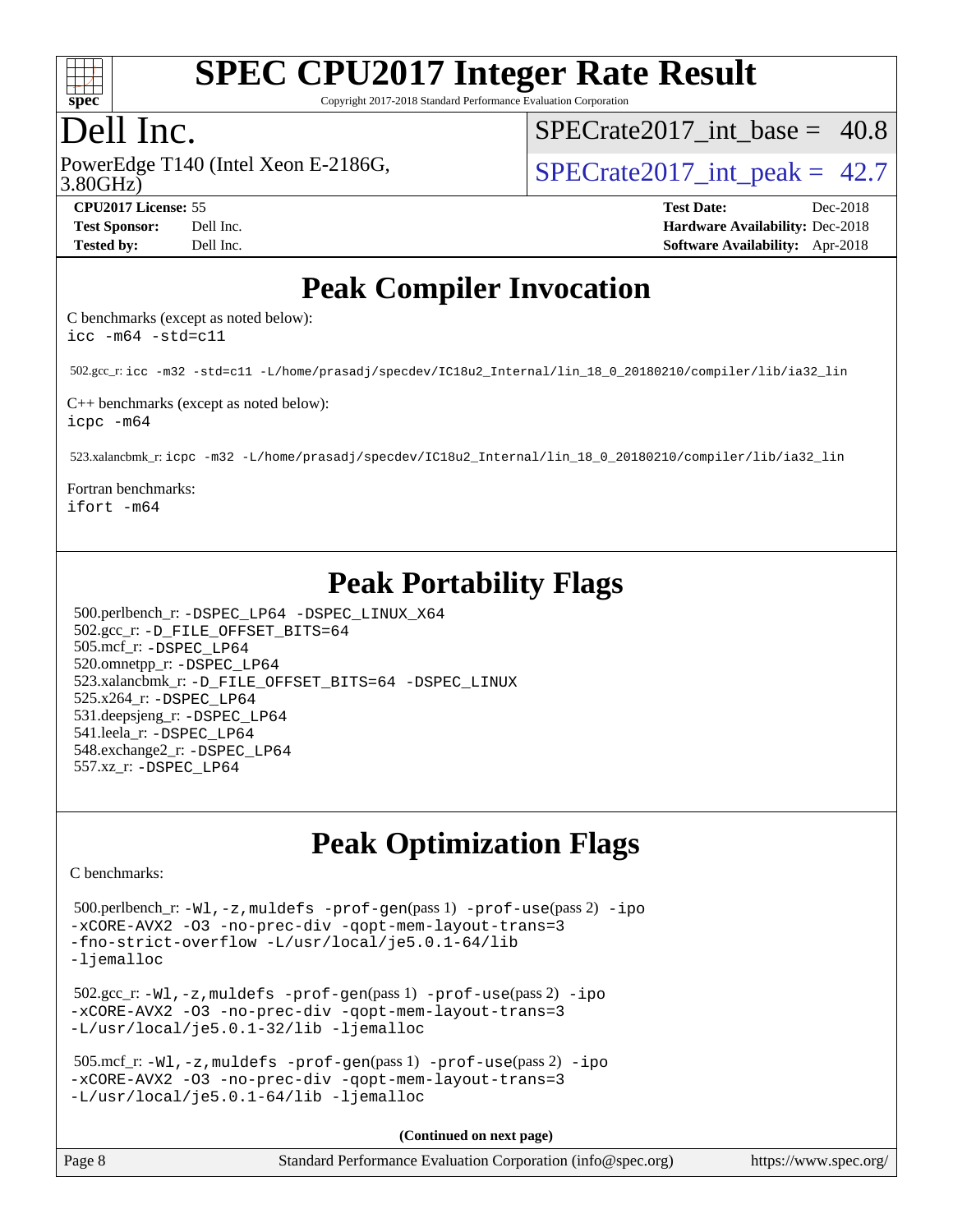

Copyright 2017-2018 Standard Performance Evaluation Corporation

## Dell Inc.

PowerEdge T140 (Intel Xeon E-2186G, 3.80GHz)

SPECrate2017 int\_base =  $40.8$ 

SPECrate  $2017$  int peak = 42.7

**[CPU2017 License:](http://www.spec.org/auto/cpu2017/Docs/result-fields.html#CPU2017License)** 55 **[Test Date:](http://www.spec.org/auto/cpu2017/Docs/result-fields.html#TestDate)** Dec-2018 **[Test Sponsor:](http://www.spec.org/auto/cpu2017/Docs/result-fields.html#TestSponsor)** Dell Inc. **[Hardware Availability:](http://www.spec.org/auto/cpu2017/Docs/result-fields.html#HardwareAvailability)** Dec-2018 **[Tested by:](http://www.spec.org/auto/cpu2017/Docs/result-fields.html#Testedby)** Dell Inc. **[Software Availability:](http://www.spec.org/auto/cpu2017/Docs/result-fields.html#SoftwareAvailability)** Apr-2018

### **[Peak Compiler Invocation](http://www.spec.org/auto/cpu2017/Docs/result-fields.html#PeakCompilerInvocation)**

[C benchmarks \(except as noted below\)](http://www.spec.org/auto/cpu2017/Docs/result-fields.html#Cbenchmarksexceptasnotedbelow): [icc -m64 -std=c11](http://www.spec.org/cpu2017/results/res2018q4/cpu2017-20181210-10195.flags.html#user_CCpeak_intel_icc_64bit_c11_33ee0cdaae7deeeab2a9725423ba97205ce30f63b9926c2519791662299b76a0318f32ddfffdc46587804de3178b4f9328c46fa7c2b0cd779d7a61945c91cd35)

502.gcc\_r: [icc -m32 -std=c11 -L/home/prasadj/specdev/IC18u2\\_Internal/lin\\_18\\_0\\_20180210/compiler/lib/ia32\\_lin](http://www.spec.org/cpu2017/results/res2018q4/cpu2017-20181210-10195.flags.html#user_peakCCLD502_gcc_r_intel_icc_a481ac844e7127046fad14d498c730a1848fa901fbbb2c3dfdd5e9fbbac777c8009953946d55d8b6afe8ed0da70dd2b4f8dedbdf7ab1ee211ba70d24a5d89f85)

[C++ benchmarks \(except as noted below\):](http://www.spec.org/auto/cpu2017/Docs/result-fields.html#CXXbenchmarksexceptasnotedbelow) [icpc -m64](http://www.spec.org/cpu2017/results/res2018q4/cpu2017-20181210-10195.flags.html#user_CXXpeak_intel_icpc_64bit_4ecb2543ae3f1412ef961e0650ca070fec7b7afdcd6ed48761b84423119d1bf6bdf5cad15b44d48e7256388bc77273b966e5eb805aefd121eb22e9299b2ec9d9)

523.xalancbmk\_r: [icpc -m32 -L/home/prasadj/specdev/IC18u2\\_Internal/lin\\_18\\_0\\_20180210/compiler/lib/ia32\\_lin](http://www.spec.org/cpu2017/results/res2018q4/cpu2017-20181210-10195.flags.html#user_peakCXXLD523_xalancbmk_r_intel_icpc_c6d030cd79af6ea7d6fb64c57e8fe7ae8fe0b96fc5a3b3f4a10e3273b3d7fa9decd8263f6330cef23f751cb093a69fae84a2bf4c243500a8eed069248128076f)

[Fortran benchmarks:](http://www.spec.org/auto/cpu2017/Docs/result-fields.html#Fortranbenchmarks) [ifort -m64](http://www.spec.org/cpu2017/results/res2018q4/cpu2017-20181210-10195.flags.html#user_FCpeak_intel_ifort_64bit_24f2bb282fbaeffd6157abe4f878425411749daecae9a33200eee2bee2fe76f3b89351d69a8130dd5949958ce389cf37ff59a95e7a40d588e8d3a57e0c3fd751)

## **[Peak Portability Flags](http://www.spec.org/auto/cpu2017/Docs/result-fields.html#PeakPortabilityFlags)**

 500.perlbench\_r: [-DSPEC\\_LP64](http://www.spec.org/cpu2017/results/res2018q4/cpu2017-20181210-10195.flags.html#b500.perlbench_r_peakPORTABILITY_DSPEC_LP64) [-DSPEC\\_LINUX\\_X64](http://www.spec.org/cpu2017/results/res2018q4/cpu2017-20181210-10195.flags.html#b500.perlbench_r_peakCPORTABILITY_DSPEC_LINUX_X64) 502.gcc\_r: [-D\\_FILE\\_OFFSET\\_BITS=64](http://www.spec.org/cpu2017/results/res2018q4/cpu2017-20181210-10195.flags.html#user_peakPORTABILITY502_gcc_r_file_offset_bits_64_5ae949a99b284ddf4e95728d47cb0843d81b2eb0e18bdfe74bbf0f61d0b064f4bda2f10ea5eb90e1dcab0e84dbc592acfc5018bc955c18609f94ddb8d550002c) 505.mcf\_r: [-DSPEC\\_LP64](http://www.spec.org/cpu2017/results/res2018q4/cpu2017-20181210-10195.flags.html#suite_peakPORTABILITY505_mcf_r_DSPEC_LP64) 520.omnetpp\_r: [-DSPEC\\_LP64](http://www.spec.org/cpu2017/results/res2018q4/cpu2017-20181210-10195.flags.html#suite_peakPORTABILITY520_omnetpp_r_DSPEC_LP64) 523.xalancbmk\_r: [-D\\_FILE\\_OFFSET\\_BITS=64](http://www.spec.org/cpu2017/results/res2018q4/cpu2017-20181210-10195.flags.html#user_peakPORTABILITY523_xalancbmk_r_file_offset_bits_64_5ae949a99b284ddf4e95728d47cb0843d81b2eb0e18bdfe74bbf0f61d0b064f4bda2f10ea5eb90e1dcab0e84dbc592acfc5018bc955c18609f94ddb8d550002c) [-DSPEC\\_LINUX](http://www.spec.org/cpu2017/results/res2018q4/cpu2017-20181210-10195.flags.html#b523.xalancbmk_r_peakCXXPORTABILITY_DSPEC_LINUX) 525.x264\_r: [-DSPEC\\_LP64](http://www.spec.org/cpu2017/results/res2018q4/cpu2017-20181210-10195.flags.html#suite_peakPORTABILITY525_x264_r_DSPEC_LP64) 531.deepsjeng\_r: [-DSPEC\\_LP64](http://www.spec.org/cpu2017/results/res2018q4/cpu2017-20181210-10195.flags.html#suite_peakPORTABILITY531_deepsjeng_r_DSPEC_LP64) 541.leela\_r: [-DSPEC\\_LP64](http://www.spec.org/cpu2017/results/res2018q4/cpu2017-20181210-10195.flags.html#suite_peakPORTABILITY541_leela_r_DSPEC_LP64) 548.exchange2\_r: [-DSPEC\\_LP64](http://www.spec.org/cpu2017/results/res2018q4/cpu2017-20181210-10195.flags.html#suite_peakPORTABILITY548_exchange2_r_DSPEC_LP64) 557.xz\_r: [-DSPEC\\_LP64](http://www.spec.org/cpu2017/results/res2018q4/cpu2017-20181210-10195.flags.html#suite_peakPORTABILITY557_xz_r_DSPEC_LP64)

## **[Peak Optimization Flags](http://www.spec.org/auto/cpu2017/Docs/result-fields.html#PeakOptimizationFlags)**

[C benchmarks](http://www.spec.org/auto/cpu2017/Docs/result-fields.html#Cbenchmarks):

```
 500.perlbench_r: -Wl,-z,muldefs -prof-gen(pass 1) -prof-use(pass 2) -ipo
-xCORE-AVX2 -O3 -no-prec-div -qopt-mem-layout-trans=3
-fno-strict-overflow -L/usr/local/je5.0.1-64/lib
-ljemalloc
 502.gcc_r: -Wl,-z,muldefs -prof-gen(pass 1) -prof-use(pass 2) -ipo
-xCORE-AVX2 -O3 -no-prec-div -qopt-mem-layout-trans=3
-L/usr/local/je5.0.1-32/lib -ljemalloc
 505.mcf_r: -Wl,-z,muldefs -prof-gen(pass 1) -prof-use(pass 2) -ipo
-xCORE-AVX2 -O3 -no-prec-div -qopt-mem-layout-trans=3
-L/usr/local/je5.0.1-64/lib -ljemalloc
                                      (Continued on next page)
```

| Page 8 | Standard Performance Evaluation Corporation (info@spec.org) | https://www.spec.org/ |
|--------|-------------------------------------------------------------|-----------------------|